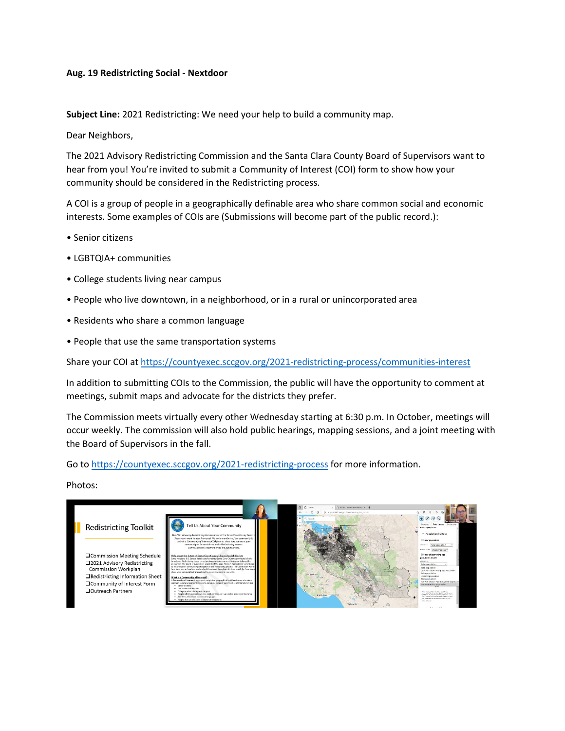## **Aug. 19 Redistricting Social - Nextdoor**

**Subject Line:** 2021 Redistricting: We need your help to build a community map.

Dear Neighbors,

The 2021 Advisory Redistricting Commission and the Santa Clara County Board of Supervisors want to hear from you! You're invited to submit a Community of Interest (COI) form to show how your community should be considered in the Redistricting process.

A COI is a group of people in a geographically definable area who share common social and economic interests. Some examples of COIs are (Submissions will become part of the public record.):

- Senior citizens
- LGBTQIA+ communities
- College students living near campus
- People who live downtown, in a neighborhood, or in a rural or unincorporated area
- Residents who share a common language
- People that use the same transportation systems

Share your COI a[t https://countyexec.sccgov.org/2021-redistricting-process/communities-interest](https://countyexec.sccgov.org/2021-redistricting-process/communities-interest)

In addition to submitting COIs to the Commission, the public will have the opportunity to comment at meetings, submit maps and advocate for the districts they prefer.

The Commission meets virtually every other Wednesday starting at 6:30 p.m. In October, meetings will occur weekly. The commission will also hold public hearings, mapping sessions, and a joint meeting with the Board of Supervisors in the fall.

Go to [https://countyexec.sccgov.org/2021-redistricting-process](https://countyexec.sccgov.org/2021-redistricting-process?fbclid=IwAR3U0_i0QgGBqI8pmrKcPHkOoa0xKm1Vou7zWSFqLVa9YSz0u1UIR78grNA) for more information.

Photos: